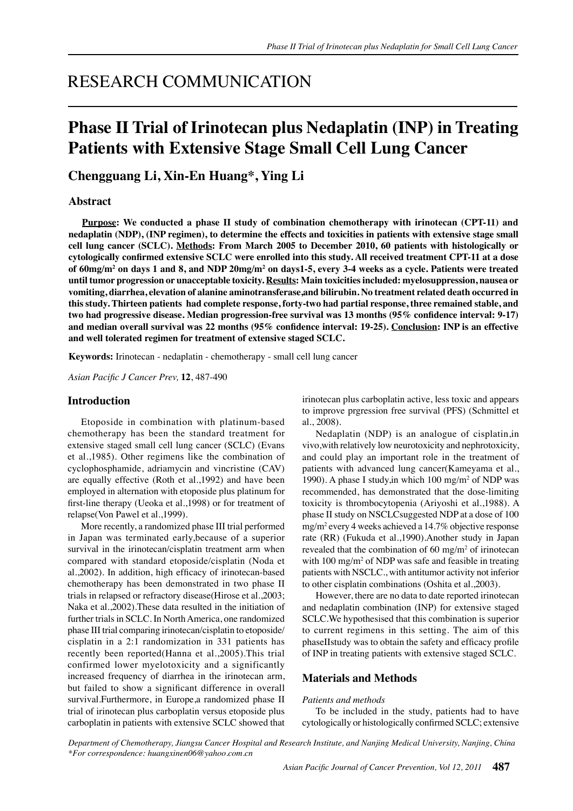# RESEARCH COMMUNICATION

# **Phase II Trial of Irinotecan plus Nedaplatin (INP) in Treating Patients with Extensive Stage Small Cell Lung Cancer**

**Chengguang Li, Xin-En Huang\*, Ying Li**

## **Abstract**

**Purpose: We conducted a phase II study of combination chemotherapy with irinotecan (CPT-11) and nedaplatin (NDP), (INP regimen), to determine the effects and toxicities in patients with extensive stage small cell lung cancer (SCLC). Methods: From March 2005 to December 2010, 60 patients with histologically or cytologically confirmed extensive SCLC were enrolled into this study. All received treatment CPT-11 at a dose of 60mg/m2 on days 1 and 8, and NDP 20mg/m2 on days1-5, every 3-4 weeks as a cycle. Patients were treated until tumor progression or unacceptable toxicity. Results: Main toxicities included: myelosuppression, nausea or vomiting, diarrhea, elevation of alanine aminotransferase,and bilirubin. No treatment related death occurred in this study. Thirteen patients had complete response, forty-two had partial response, three remained stable, and two had progressive disease. Median progression-free survival was 13 months (95% confidence interval: 9-17) and median overall survival was 22 months (95% confidence interval: 19-25). Conclusion: INP is an effective and well tolerated regimen for treatment of extensive staged SCLC.**

**Keywords:** Irinotecan - nedaplatin - chemotherapy - small cell lung cancer

*Asian Pacific J Cancer Prev,* **12**, 487-490

#### **Introduction**

Etoposide in combination with platinum-based chemotherapy has been the standard treatment for extensive staged small cell lung cancer (SCLC) (Evans et al.,1985). Other regimens like the combination of cyclophosphamide, adriamycin and vincristine (CAV) are equally effective (Roth et al.,1992) and have been employed in alternation with etoposide plus platinum for first-line therapy (Ueoka et al.,1998) or for treatment of relapse(Von Pawel et al.,1999).

More recently, a randomized phase III trial performed in Japan was terminated early,because of a superior survival in the irinotecan/cisplatin treatment arm when compared with standard etoposide/cisplatin (Noda et al.,2002). In addition, high efficacy of irinotecan-based chemotherapy has been demonstrated in two phase II trials in relapsed or refractory disease(Hirose et al.,2003; Naka et al.,2002).These data resulted in the initiation of further trials in SCLC. In North America, one randomized phase III trial comparing irinotecan/cisplatin to etoposide/ cisplatin in a 2:1 randomization in 331 patients has recently been reported(Hanna et al.,2005).This trial confirmed lower myelotoxicity and a significantly increased frequency of diarrhea in the irinotecan arm, but failed to show a significant difference in overall survival.Furthermore, in Europe,a randomized phase II trial of irinotecan plus carboplatin versus etoposide plus carboplatin in patients with extensive SCLC showed that

irinotecan plus carboplatin active, less toxic and appears to improve prgression free survival (PFS) (Schmittel et al., 2008).

Nedaplatin (NDP) is an analogue of cisplatin,in vivo,with relatively low neurotoxicity and nephrotoxicity, and could play an important role in the treatment of patients with advanced lung cancer(Kameyama et al., 1990). A phase I study,in which 100 mg/m2 of NDP was recommended, has demonstrated that the dose-limiting toxicity is thrombocytopenia (Ariyoshi et al.,1988). A phase II study on NSCLCsuggested NDP at a dose of 100 mg/m2 every 4 weeks achieved a 14.7% objective response rate (RR) (Fukuda et al.,1990).Another study in Japan revealed that the combination of  $60 \text{ mg/m}^2$  of irinotecan with  $100 \text{ mg/m}^2$  of NDP was safe and feasible in treating patients with NSCLC., with antitumor activity not inferior to other cisplatin combinations (Oshita et al.,2003).

However, there are no data to date reported irinotecan and nedaplatin combination (INP) for extensive staged SCLC.We hypothesised that this combination is superior to current regimens in this setting. The aim of this phaseⅡstudy was to obtain the safety and efficacy profile of INP in treating patients with extensive staged SCLC.

## **Materials and Methods**

#### *Patients and methods*

To be included in the study, patients had to have cytologically or histologically confirmed SCLC; extensive

*Department of Chemotherapy, Jiangsu Cancer Hospital and Research Institute, and Nanjing Medical University, Nanjing, China \*For correspondence: huangxinen06@yahoo.com.cn*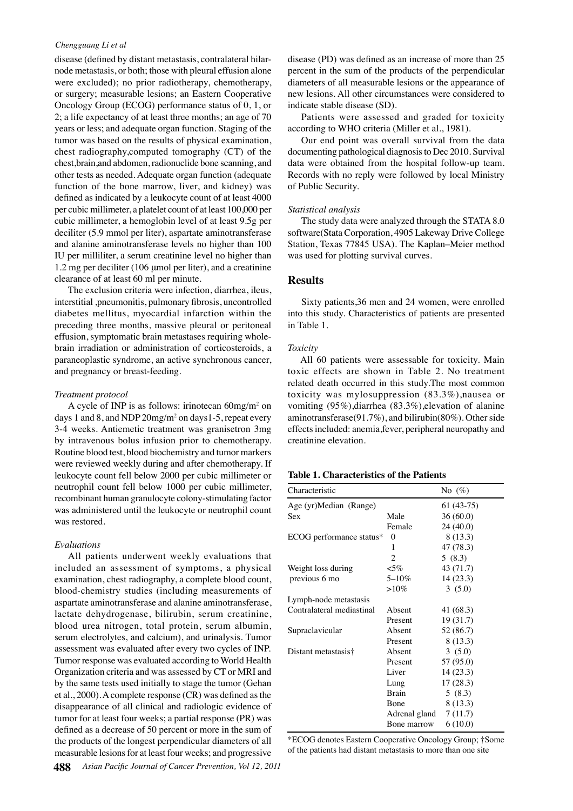#### *Chengguang Li et al*

disease (defined by distant metastasis, contralateral hilarnode metastasis, or both; those with pleural effusion alone were excluded); no prior radiotherapy, chemotherapy, or surgery; measurable lesions; an Eastern Cooperative Oncology Group (ECOG) performance status of 0, 1, or 2; a life expectancy of at least three months; an age of 70 years or less; and adequate organ function. Staging of the tumor was based on the results of physical examination, chest radiography,computed tomography (CT) of the chest,brain,and abdomen, radionuclide bone scanning, and other tests as needed. Adequate organ function (adequate function of the bone marrow, liver, and kidney) was defined as indicated by a leukocyte count of at least 4000 per cubic millimeter, a platelet count of at least 100,000 per cubic millimeter, a hemoglobin level of at least 9.5g per deciliter (5.9 mmol per liter), aspartate aminotransferase and alanine aminotransferase levels no higher than 100 IU per milliliter, a serum creatinine level no higher than 1.2 mg per deciliter (106 μmol per liter), and a creatinine clearance of at least 60 ml per minute.

The exclusion criteria were infection, diarrhea, ileus, interstitial ,pneumonitis, pulmonary fibrosis, uncontrolled diabetes mellitus, myocardial infarction within the preceding three months, massive pleural or peritoneal effusion, symptomatic brain metastases requiring wholebrain irradiation or administration of corticosteroids, a paraneoplastic syndrome, an active synchronous cancer, and pregnancy or breast-feeding.

#### *Treatment protocol*

A cycle of INP is as follows: irinotecan  $60$ mg/m<sup>2</sup> on days 1 and 8, and NDP  $20$ mg/m<sup>2</sup> on days 1-5, repeat every 3-4 weeks. Antiemetic treatment was granisetron 3mg by intravenous bolus infusion prior to chemotherapy. Routine blood test, blood biochemistry and tumor markers were reviewed weekly during and after chemotherapy. If leukocyte count fell below 2000 per cubic millimeter or neutrophil count fell below 1000 per cubic millimeter, recombinant human granulocyte colony-stimulating factor was administered until the leukocyte or neutrophil count was restored.

### *Evaluations*

All patients underwent weekly evaluations that included an assessment of symptoms, a physical examination, chest radiography, a complete blood count, blood-chemistry studies (including measurements of aspartate aminotransferase and alanine aminotransferase, lactate dehydrogenase, bilirubin, serum creatinine, blood urea nitrogen, total protein, serum albumin, serum electrolytes, and calcium), and urinalysis. Tumor assessment was evaluated after every two cycles of INP. Tumor response was evaluated according to World Health Organization criteria and was assessed by CT or MRI and by the same tests used initially to stage the tumor (Gehan et al., 2000). A complete response (CR) was defined as the disappearance of all clinical and radiologic evidence of tumor for at least four weeks; a partial response (PR) was defined as a decrease of 50 percent or more in the sum of the products of the longest perpendicular diameters of all measurable lesions for at least four weeks; and progressive

disease (PD) was defined as an increase of more than 25 percent in the sum of the products of the perpendicular diameters of all measurable lesions or the appearance of new lesions. All other circumstances were considered to indicate stable disease (SD).

Patients were assessed and graded for toxicity according to WHO criteria (Miller et al., 1981).

Records with no reply were followed by local Ministry 00.0 Our end point was overall survival from the data documenting pathological diagnosis to Dec 2010. Survival data were obtained from the hospital follow-up team. of Public Security.

### *Statistical analysis*

50.0 75.0 The study data were analyzed through the STATA 8.0 software(Stata Corporation, 4905 Lakeway Drive College Station, Texas 77845 USA). The Kaplan–Meier method was used for plotting survival curves.

## **Results**

0 25.0 Sixty patients,36 men and 24 women, were enrolled into this study. Characteristics of patients are presented in Table 1.

#### *Toxicity*

All 60 patients were assessable for toxicity. Main toxic effects are shown in Table 2. No treatment related death occurred in this study.The most common toxicity was mylosuppression (83.3%),nausea or vomiting (95%),diarrhea (83.3%),elevation of alanine aminotransferase(91.7%), and bilirubin(80%). Other side effects included: anemia,fever, peripheral neuropathy and creatinine elevation.

| <b>Table 1. Characteristics of the Patients</b> |
|-------------------------------------------------|
|                                                 |

| Characteristic            |               | No $(\%)$   |
|---------------------------|---------------|-------------|
| Age (yr)Median (Range)    |               | $61(43-75)$ |
| Sex                       | Male          | 36(60.0)    |
|                           | Female        | 24 (40.0)   |
| ECOG performance status*  | $\theta$      | 8 (13.3)    |
|                           | 1             | 47 (78.3)   |
|                           | 2             | 5(8.3)      |
| Weight loss during        | $<$ 5%        | 43 (71.7)   |
| previous 6 mo             | $5 - 10\%$    | 14(23.3)    |
|                           | $>10\%$       | 3(5.0)      |
| Lymph-node metastasis     |               |             |
| Contralateral mediastinal | Absent        | 41 (68.3)   |
|                           | Present       | 19 (31.7)   |
| Supraclavicular           | Absent        | 52 (86.7)   |
|                           | Present       | 8(13.3)     |
| Distant metastasis†       | Absent        | 3(5.0)      |
|                           | Present       | 57 (95.0)   |
|                           | Liver         | 14(23.3)    |
|                           | Lung          | 17(28.3)    |
|                           | Brain         | 5(8.3)      |
|                           | Bone          | 8 (13.3)    |
|                           | Adrenal gland | 7(11.7)     |
|                           | Bone marrow   | 6(10.0)     |

\*ECOG denotes Eastern Cooperative Oncology Group; †Some of the patients had distant metastasis to more than one site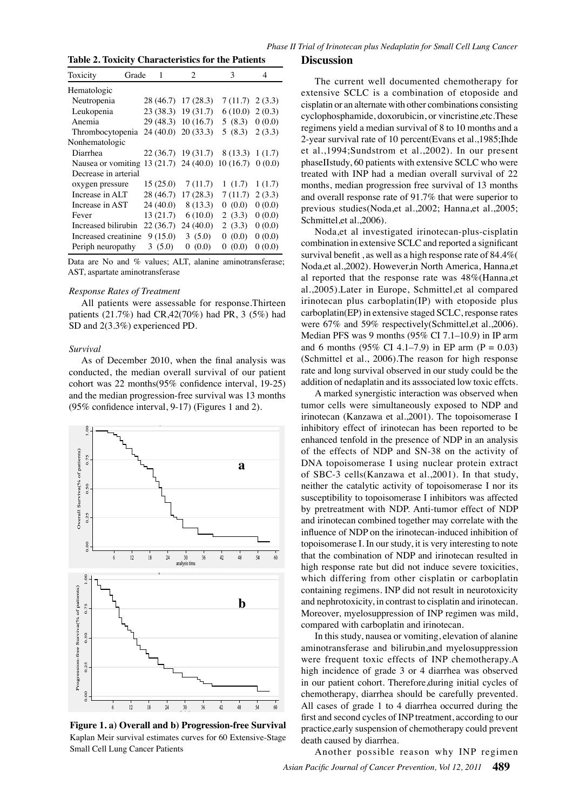**Table 2. Toxicity Characteristics for the Patients**

| Grade<br>Toxicity    | 1         | 2                              | 3                | 4      |
|----------------------|-----------|--------------------------------|------------------|--------|
| Hematologic          |           |                                |                  |        |
| Neutropenia          |           | 28 (46.7) 17 (28.3)            | $7(11.7)$ 2(3.3) |        |
| Leukopenia           |           | 23 (38.3) 19 (31.7)            | 6(10.0)          | 2(0.3) |
| Anemia               |           | 29 (48.3) 10 (16.7)            | 5(8.3)           | 0(0.0) |
| Thrombocytopenia     |           | $24(40.0)$ 20 (33.3)           | 5(8.3)           | 2(3.3) |
| Nonhematologic       |           |                                |                  |        |
| Diarrhea             |           | $22(36.7)$ 19 (31.7)           | 8 (13.3)         | 1(1.7) |
| Nausea or vomiting   |           | $13(21.7)$ 24 (40.0) 10 (16.7) |                  | (0.0)  |
| Decrease in arterial |           |                                |                  |        |
| oxygen pressure      | 15(25.0)  | 7(11.7)                        | 1(1.7)           | 1(1.7) |
| Increase in ALT      | 28 (46.7) | 17(28.3)                       | 7(11.7)          | 2(3.3) |
| Increase in AST      | 24(40.0)  | 8 (13.3)                       | (0.0)            | 0(0.0) |
| Fever                | 13(21.7)  | 6(10.0)                        | 2(3.3)           | 0(0.0) |
| Increased bilirubin  | 22(36.7)  | 24(40.0)                       | 2(3.3)           | (0.0)  |
| Increased creatinine | 9(15.0)   | 3(5.0)                         | (0.0)            | (0.0)  |
| Periph neuropathy    | 3(5.0)    | (0.0)                          | (0.0)            | (0.0)  |

Data are No and % values; ALT, alanine aminotransferase; AST, aspartate aminotransferase

#### *Response Rates of Treatment*

All patients were assessable for response.Thirteen patients (21.7%) had CR,42(70%) had PR, 3 (5%) had SD and 2(3.3%) experienced PD.

#### *Survival*

As of December 2010, when the final analysis was conducted, the median overall survival of our patient cohort was 22 months(95% confidence interval, 19-25) and the median progression-free survival was 13 months (95% confidence interval, 9-17) (Figures 1 and 2).



**Figure 1. a) Overall and b) Progression-free Survival**  Kaplan Meir survival estimates curves for 60 Extensive-Stage Small Cell Lung Cancer Patients

#### **Discussion**

The current well documented chemotherapy for extensive SCLC is a combination of etoposide and cisplatin or an alternate with other combinations consisting cyclophosphamide, doxorubicin, or vincristine,etc.These regimens yield a median survival of 8 to 10 months and a 2-year survival rate of 10 percent(Evans et al.,1985;Ihde et al.,1994;Sundstrom et al.,2002). In our present phaseⅡstudy, 60 patients with extensive SCLC who were treated with INP had a median overall survival of 22 months, median progression free survival of 13 months and overall response rate of 91.7% that were superior to previous studies(Noda,et al.,2002; Hanna,et al.,2005; Schmittel,et al.,2006).

Noda,et al investigated irinotecan-plus-cisplatin combination in extensive SCLC and reported a significant survival benefit , as well as a high response rate of 84.4%( Noda,et al.,2002). However,in North America, Hanna,et al reported that the response rate was 48%(Hanna,et al.,2005).Later in Europe, Schmittel,et al compared irinotecan plus carboplatin(IP) with etoposide plus carboplatin(EP) in extensive staged SCLC, response rates were 67% and 59% respectively(Schmittel.et al., 2006). Median PFS was 9 months (95% CI 7.1–10.9) in IP arm and 6 months (95% CI 4.1–7.9) in EP arm (P = 0.03) (Schmittel et al., 2006).The reason for high response rate and long survival observed in our study could be the addition of nedaplatin and its asssociated low toxic effcts.

A marked synergistic interaction was observed when tumor cells were simultaneously exposed to NDP and irinotecan (Kanzawa et al.,2001). The topoisomerase I inhibitory effect of irinotecan has been reported to be enhanced tenfold in the presence of NDP in an analysis of the effects of NDP and SN-38 on the activity of DNA topoisomerase I using nuclear protein extract of SBC-3 cells(Kanzawa et al.,2001). In that study, neither the catalytic activity of topoisomerase I nor its susceptibility to topoisomerase I inhibitors was affected by pretreatment with NDP. Anti-tumor effect of NDP and irinotecan combined together may correlate with the influence of NDP on the irinotecan-induced inhibition of topoisomerase I. In our study, it is very interesting to note that the combination of NDP and irinotecan resulted in high response rate but did not induce severe toxicities, which differing from other cisplatin or carboplatin containing regimens. INP did not result in neurotoxicity and nephrotoxicity, in contrast to cisplatin and irinotecan. Moreover, myelosuppression of INP regimen was mild, compared with carboplatin and irinotecan.

In this study, nausea or vomiting, elevation of alanine aminotransferase and bilirubin,and myelosuppression were frequent toxic effects of INP chemotherapy.A high incidence of grade 3 or 4 diarrhea was observed in our patient cohort. Therefore,during initial cycles of chemotherapy, diarrhea should be carefully prevented. All cases of grade 1 to 4 diarrhea occurred during the first and second cycles of INP treatment, according to our practice,early suspension of chemotherapy could prevent death caused by diarrhea.

*Asian Pacific Journal of Cancer Prevention, Vol 12, 2011* **489** Another possible reason why INP regimen